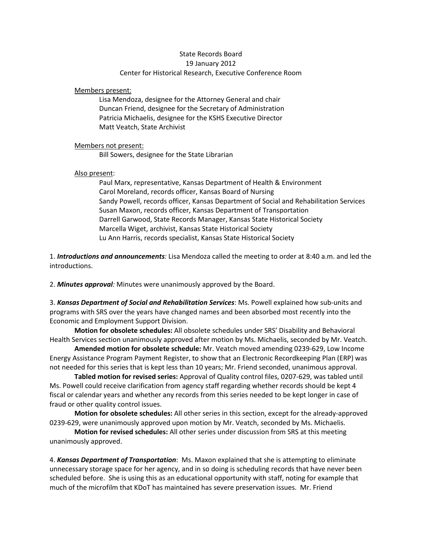## State Records Board 19 January 2012 Center for Historical Research, Executive Conference Room

Members present:

Lisa Mendoza, designee for the Attorney General and chair Duncan Friend, designee for the Secretary of Administration Patricia Michaelis, designee for the KSHS Executive Director Matt Veatch, State Archivist

## Members not present:

Bill Sowers, designee for the State Librarian

## Also present:

Paul Marx, representative, Kansas Department of Health & Environment Carol Moreland, records officer, Kansas Board of Nursing Sandy Powell, records officer, Kansas Department of Social and Rehabilitation Services Susan Maxon, records officer, Kansas Department of Transportation Darrell Garwood, State Records Manager, Kansas State Historical Society Marcella Wiget, archivist, Kansas State Historical Society Lu Ann Harris, records specialist, Kansas State Historical Society

1. *Introductions and announcements:* Lisa Mendoza called the meeting to order at 8:40 a.m. and led the introductions.

2. *Minutes approval:* Minutes were unanimously approved by the Board.

3. *Kansas Department of Social and Rehabilitation Services*: Ms. Powell explained how sub-units and programs with SRS over the years have changed names and been absorbed most recently into the Economic and Employment Support Division.

**Motion for obsolete schedules:** All obsolete schedules under SRS' Disability and Behavioral Health Services section unanimously approved after motion by Ms. Michaelis, seconded by Mr. Veatch.

**Amended motion for obsolete schedule:** Mr. Veatch moved amending 0239-629, Low Income Energy Assistance Program Payment Register, to show that an Electronic Recordkeeping Plan (ERP) was not needed for this series that is kept less than 10 years; Mr. Friend seconded, unanimous approval.

**Tabled motion for revised series:** Approval of Quality control files, 0207-629, was tabled until Ms. Powell could receive clarification from agency staff regarding whether records should be kept 4 fiscal or calendar years and whether any records from this series needed to be kept longer in case of fraud or other quality control issues.

**Motion for obsolete schedules:** All other series in this section, except for the already-approved 0239-629, were unanimously approved upon motion by Mr. Veatch, seconded by Ms. Michaelis.

**Motion for revised schedules:** All other series under discussion from SRS at this meeting unanimously approved.

4. *Kansas Department of Transportation*: Ms. Maxon explained that she is attempting to eliminate unnecessary storage space for her agency, and in so doing is scheduling records that have never been scheduled before. She is using this as an educational opportunity with staff, noting for example that much of the microfilm that KDoT has maintained has severe preservation issues. Mr. Friend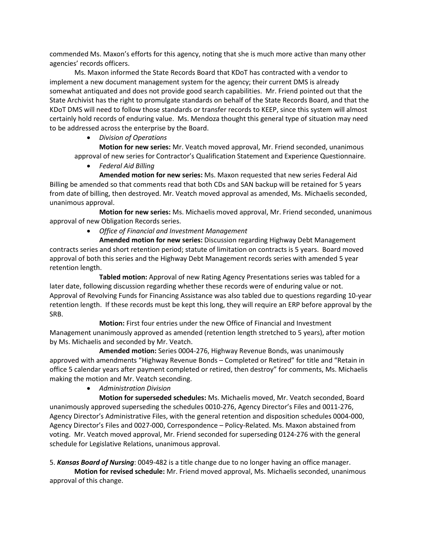commended Ms. Maxon's efforts for this agency, noting that she is much more active than many other agencies' records officers.

Ms. Maxon informed the State Records Board that KDoT has contracted with a vendor to implement a new document management system for the agency; their current DMS is already somewhat antiquated and does not provide good search capabilities. Mr. Friend pointed out that the State Archivist has the right to promulgate standards on behalf of the State Records Board, and that the KDoT DMS will need to follow those standards or transfer records to KEEP, since this system will almost certainly hold records of enduring value. Ms. Mendoza thought this general type of situation may need to be addressed across the enterprise by the Board.

# • *Division of Operations*

**Motion for new series:** Mr. Veatch moved approval, Mr. Friend seconded, unanimous approval of new series for Contractor's Qualification Statement and Experience Questionnaire.

• *Federal Aid Billing*

**Amended motion for new series:** Ms. Maxon requested that new series Federal Aid Billing be amended so that comments read that both CDs and SAN backup will be retained for 5 years from date of billing, then destroyed. Mr. Veatch moved approval as amended, Ms. Michaelis seconded, unanimous approval.

**Motion for new series:** Ms. Michaelis moved approval, Mr. Friend seconded, unanimous approval of new Obligation Records series.

• *Office of Financial and Investment Management*

**Amended motion for new series:** Discussion regarding Highway Debt Management contracts series and short retention period; statute of limitation on contracts is 5 years. Board moved approval of both this series and the Highway Debt Management records series with amended 5 year retention length.

**Tabled motion:** Approval of new Rating Agency Presentations series was tabled for a later date, following discussion regarding whether these records were of enduring value or not. Approval of Revolving Funds for Financing Assistance was also tabled due to questions regarding 10-year retention length. If these records must be kept this long, they will require an ERP before approval by the SRB.

**Motion:** First four entries under the new Office of Financial and Investment Management unanimously approved as amended (retention length stretched to 5 years), after motion by Ms. Michaelis and seconded by Mr. Veatch.

**Amended motion:** Series 0004-276, Highway Revenue Bonds, was unanimously approved with amendments "Highway Revenue Bonds – Completed or Retired" for title and "Retain in office 5 calendar years after payment completed or retired, then destroy" for comments, Ms. Michaelis making the motion and Mr. Veatch seconding.

• *Administration Division*

**Motion for superseded schedules:** Ms. Michaelis moved, Mr. Veatch seconded, Board unanimously approved superseding the schedules 0010-276, Agency Director's Files and 0011-276, Agency Director's Administrative Files, with the general retention and disposition schedules 0004-000, Agency Director's Files and 0027-000, Correspondence – Policy-Related. Ms. Maxon abstained from voting. Mr. Veatch moved approval, Mr. Friend seconded for superseding 0124-276 with the general schedule for Legislative Relations, unanimous approval.

5. *Kansas Board of Nursing*: 0049-482 is a title change due to no longer having an office manager.

**Motion for revised schedule:** Mr. Friend moved approval, Ms. Michaelis seconded, unanimous approval of this change.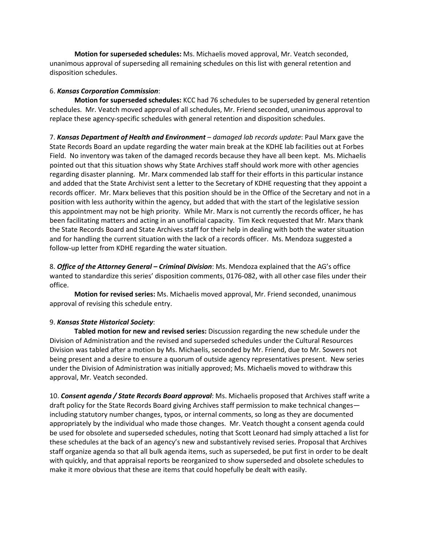**Motion for superseded schedules:** Ms. Michaelis moved approval, Mr. Veatch seconded, unanimous approval of superseding all remaining schedules on this list with general retention and disposition schedules.

## 6. *Kansas Corporation Commission*:

**Motion for superseded schedules:** KCC had 76 schedules to be superseded by general retention schedules. Mr. Veatch moved approval of all schedules, Mr. Friend seconded, unanimous approval to replace these agency-specific schedules with general retention and disposition schedules.

7. *Kansas Department of Health and Environment – damaged lab records update*: Paul Marx gave the State Records Board an update regarding the water main break at the KDHE lab facilities out at Forbes Field. No inventory was taken of the damaged records because they have all been kept. Ms. Michaelis pointed out that this situation shows why State Archives staff should work more with other agencies regarding disaster planning. Mr. Marx commended lab staff for their efforts in this particular instance and added that the State Archivist sent a letter to the Secretary of KDHE requesting that they appoint a records officer. Mr. Marx believes that this position should be in the Office of the Secretary and not in a position with less authority within the agency, but added that with the start of the legislative session this appointment may not be high priority. While Mr. Marx is not currently the records officer, he has been facilitating matters and acting in an unofficial capacity. Tim Keck requested that Mr. Marx thank the State Records Board and State Archives staff for their help in dealing with both the water situation and for handling the current situation with the lack of a records officer. Ms. Mendoza suggested a follow-up letter from KDHE regarding the water situation.

8. *Office of the Attorney General – Criminal Division*: Ms. Mendoza explained that the AG's office wanted to standardize this series' disposition comments, 0176-082, with all other case files under their office.

**Motion for revised series:** Ms. Michaelis moved approval, Mr. Friend seconded, unanimous approval of revising this schedule entry.

## 9. *Kansas State Historical Society*:

**Tabled motion for new and revised series:** Discussion regarding the new schedule under the Division of Administration and the revised and superseded schedules under the Cultural Resources Division was tabled after a motion by Ms. Michaelis, seconded by Mr. Friend, due to Mr. Sowers not being present and a desire to ensure a quorum of outside agency representatives present. New series under the Division of Administration was initially approved; Ms. Michaelis moved to withdraw this approval, Mr. Veatch seconded.

10. *Consent agenda / State Records Board approval*: Ms. Michaelis proposed that Archives staff write a draft policy for the State Records Board giving Archives staff permission to make technical changes including statutory number changes, typos, or internal comments, so long as they are documented appropriately by the individual who made those changes. Mr. Veatch thought a consent agenda could be used for obsolete and superseded schedules, noting that Scott Leonard had simply attached a list for these schedules at the back of an agency's new and substantively revised series. Proposal that Archives staff organize agenda so that all bulk agenda items, such as superseded, be put first in order to be dealt with quickly, and that appraisal reports be reorganized to show superseded and obsolete schedules to make it more obvious that these are items that could hopefully be dealt with easily.